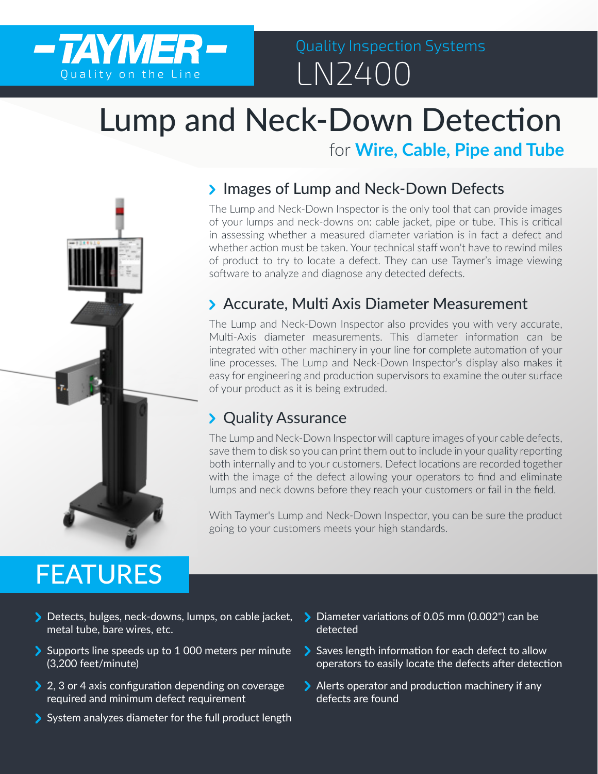

# Quality Inspection Systems

# Lump and Neck-Down Detection

for **Wire, Cable, Pipe and Tube**

### > Images of Lump and Neck-Down Defects

The Lump and Neck-Down Inspector is the only tool that can provide images of your lumps and neck-downs on: cable jacket, pipe or tube. This is critical in assessing whether a measured diameter variation is in fact a defect and whether action must be taken. Your technical staff won't have to rewind miles of product to try to locate a defect. They can use Taymer's image viewing software to analyze and diagnose any detected defects.

## Accurate, Multi Axis Diameter Measurement

The Lump and Neck-Down Inspector also provides you with very accurate, Multi-Axis diameter measurements. This diameter information can be integrated with other machinery in your line for complete automation of your line processes. The Lump and Neck-Down Inspector's display also makes it easy for engineering and production supervisors to examine the outer surface of your product as it is being extruded.

### > Quality Assurance

The Lump and Neck-Down Inspector will capture images of your cable defects, save them to disk so you can print them out to include in your quality reporting both internally and to your customers. Defect locations are recorded together with the image of the defect allowing your operators to find and eliminate lumps and neck downs before they reach your customers or fail in the field.

With Taymer's Lump and Neck-Down Inspector, you can be sure the product going to your customers meets your high standards.

# FEATURES

- Detects, bulges, neck-downs, lumps, on cable jacket, metal tube, bare wires, etc.
- Supports line speeds up to 1 000 meters per minute (3,200 feet/minute)
- > 2, 3 or 4 axis configuration depending on coverage required and minimum defect requirement
- System analyzes diameter for the full product length
- Diameter variations of 0.05 mm (0.002") can be detected
- Saves length information for each defect to allow operators to easily locate the defects after detection
- Alerts operator and production machinery if any defects are found